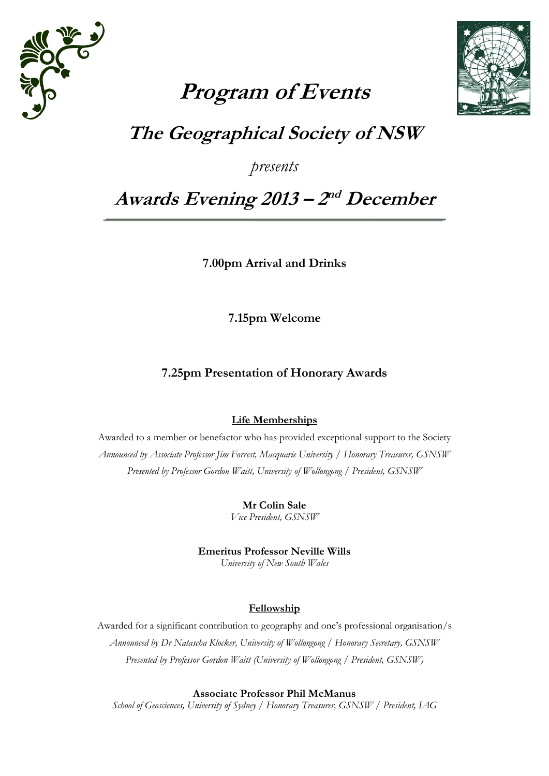



# **Program of Events**

## **The Geographical Society of NSW**

*presents*

## **Awards Evening 2013 – 2 nd December**

**7.00pm Arrival and Drinks**

**7.15pm Welcome**

## **7.25pm Presentation of Honorary Awards**

## **Life Memberships**

Awarded to a member or benefactor who has provided exceptional support to the Society *Announced by Associate Professor Jim Forrest, Macquarie University / Honorary Treasurer, GSNSW Presented by Professor Gordon Waitt, University of Wollongong / President, GSNSW*

> **Mr Colin Sale** *Vice President, GSNSW*

**Emeritus Professor Neville Wills**  *University of New South Wales*

## **Fellowship**

Awarded for a significant contribution to geography and one's professional organisation/s *Announced by Dr Natascha Klocker, University of Wollongong / Honorary Secretary, GSNSW Presented by Professor Gordon Waitt (University of Wollongong / President, GSNSW)*

**Associate Professor Phil McManus**

*School of Geosciences, University of Sydney / Honorary Treasurer, GSNSW / President, IAG*